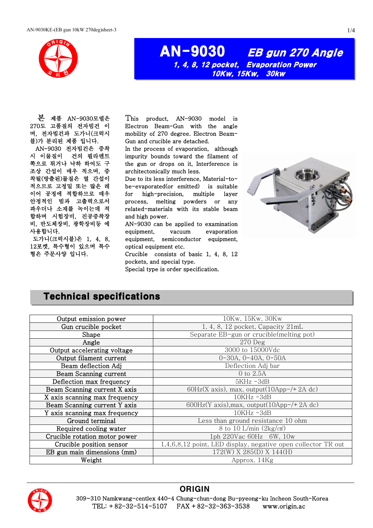

### AN-9030 EB gun 270 Angle 1, 4, 8, 12 pocket, Evaporation Power 10Kw, 15Kw, 30kw

본 제품 AN-9030모델은 270도 고품질의 전자빔건 이 며, 전자빔건과 도가니(크럭시 블)가 분리된 제품 입니다. AN-9030 전자빔건은 증착 시 이물질이 건의 필라멘트 쪽으로 튀거나 낙하 하여도 구 조상 간섭이 매우 적으며, 증 착될(방출된)물질은 열 간섭이 적으므로 고정밀 또는 많은 레 이어 공정에 적합하므로 매우 안정적인 빔과 고출력으로서 파우더나 소재를 녹이는데 적 합하며 시험장비, 진공증착장 비, 반도체장비, 광학장비등 에 사용합니다.

 도가니(크럭시블)은 1, 4, 8, 12포켓, 특수형이 있으며 특수 형은 주문사양 입니다.

This product, AN-9030 model is Electron Beam-Gun with the angle mobility of 270 degree. Electron Beam-Gun and crucible are detached.

In the process of evaporation, although impurity bounds toward the filament of the gun or drops on it, Interference is architectonically much less.

Due to its less interference, Material-tobe-evaporated(or emitted) is suitable for high-precision, multiple layer process, melting powders or any related-materials with its stable beam and high power.

AN-9030 can be applied to examination equipment, vacuum evaporation equipment, semiconductor equipment, optical equipment etc.

Crucible consists of basic 1, 4, 8, 12 pockets, and special type.

Special type is order specification.



#### Technical specifications

| 10Kw, 15Kw, 30Kw                                                          |  |  |
|---------------------------------------------------------------------------|--|--|
| 1, 4, 8, 12 pocket, Capacity 21mL                                         |  |  |
| Separate EB-gun or crucible(melting pot)                                  |  |  |
| $270$ Deg                                                                 |  |  |
| 3000 to 15000Vdc                                                          |  |  |
| $0-30A, 0-40A, 0-50A$                                                     |  |  |
| Deflection Adj bar                                                        |  |  |
| 0 to $2.5A$                                                               |  |  |
| $5KHz - 3dB$                                                              |  |  |
| 60Hz(X axis), max, output( $10$ App-/+ 2A dc)                             |  |  |
| $10KHz - 3dB$                                                             |  |  |
| 600Hz(Y axis), max, output(10App-/+2A dc)<br>Beam Scanning current Y axis |  |  |
| $10KHz - 3dB$                                                             |  |  |
| Less than ground resistance 10 ohm                                        |  |  |
| 8 to 10 L/min $(2\text{kg/cm}^2)$                                         |  |  |
| 1ph 220Vac 60Hz 6W, 10w                                                   |  |  |
| 1,4,6,8,12 point, LED display, negative open collector TR out             |  |  |
| $172(W)$ X 285(D) X 144(H)                                                |  |  |
| Approx. 14Kg                                                              |  |  |
|                                                                           |  |  |



#### **ORIGIN**

 309~310 Namkwang-centlex 440-4 Chung-chun-dong Bu-pyeong-ku Incheon South-Korea TEL: +82-32-514-5107 FAX +82-32-363-3538 www.origin.ac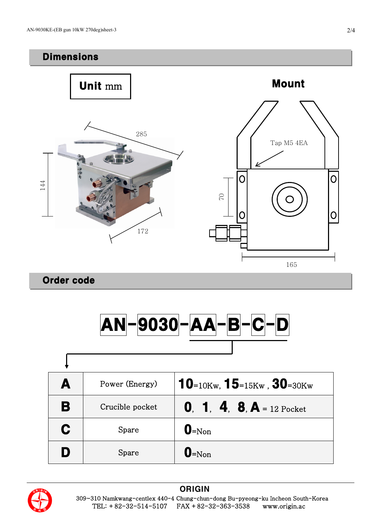## Dimensions



Order code

 $\lceil$ 



| A | Power (Energy)  | $10$ =10Kw, $15$ =15Kw, $30$ =30Kw |
|---|-----------------|------------------------------------|
| B | Crucible pocket | <b>0. 1. 4. 8. A</b> = 12 Pocket   |
| C | Spare           | $\mathbf{0}$ =Non                  |
| D | Spare           | $\mathbf{0}$ =Non                  |



#### **ORIGIN**  309~310 Namkwang-centlex 440-4 Chung-chun-dong Bu-pyeong-ku Incheon South-Korea TEL: +82-32-514-5107 FAX +82-32-363-3538 www.origin.ac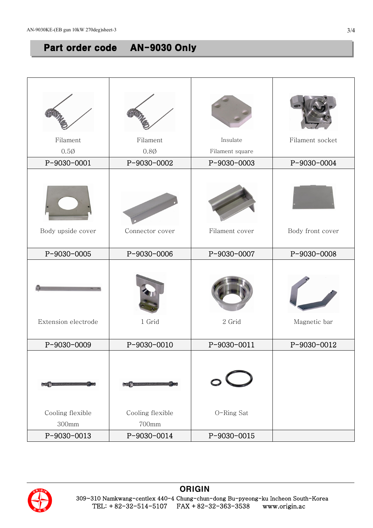# Part order code AN-9030 Only

| Filament<br>$0.5\%$ | Filament<br>$0.8\emptyset$ | Insulate<br>Filament square | Filament socket  |
|---------------------|----------------------------|-----------------------------|------------------|
| P-9030-0001         | P-9030-0002                | P-9030-0003                 | P-9030-0004      |
|                     |                            |                             |                  |
| Body upside cover   | Connector cover            | Filament cover              | Body front cover |
| P-9030-0005         | P-9030-0006                | P-9030-0007                 | P-9030-0008      |
| Extension electrode | 1 Grid                     | 2 Grid                      | Magnetic bar     |
| P-9030-0009         | P-9030-0010                | P-9030-0011                 | P-9030-0012      |
|                     |                            |                             |                  |
| Cooling flexible    | Cooling flexible           | O-Ring Sat                  |                  |
| 300mm               | 700mm                      |                             |                  |
| P-9030-0013         | P-9030-0014                | P-9030-0015                 |                  |